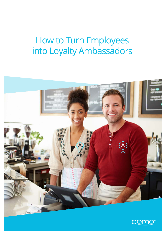# How to Turn Employees into Loyalty Ambassadors



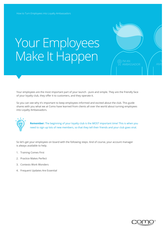# Your Employees Make It Happen

Your employees are the most important part of your launch - pure and simple. They are the friendly face of your loyalty club, they offer it to customers, and they operate it.

So you can see why it's important to keep employees informed and excited about the club. This guide shares with you what we at Como have learned from clients all over the world about turning employees into Loyalty Ambassadors.



**Remember:** The beginning of your loyalty club is the MOST important time! This is when you need to sign up lots of new members, so that they tell their friends and your club goes viral.

So let's get your employees on board with the following steps. And of course, your account manager is always available to help.

- 1. Training Comes First
- 2. Practice Makes Perfect
- 3. Contests Work Wonders
- 4. Frequent Updates Are Essential



 $\overline{\left\langle \mathrm{\hat{X}}\right\rangle }$  I'M AN

AMBASSADOR

 $N_{\text{max}}$ amb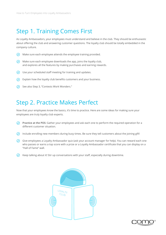### Step 1. Training Comes First

As Loyalty Ambassadors, your employees must understand and believe in the club. They should be enthusiastic about offering the club and answering customer questions. The loyalty club should be totally embedded in the company culture.

- $\oslash$  Make sure each employee attends the employee training provided.
- $\vee$  Make sure each employee downloads the app, joins the loyalty club, and explores all the features by making purchases and earning rewards.
- $\bigcirc$  Use your scheduled staff meeting for training and updates.
- $\odot$  Explain how the loyalty club benefits customers and your business.
- $\odot$  See also Step 3, "Contests Work Wonders."

#### Step 2. Practice Makes Perfect

Now that your employees know the basics, it's time to practice. Here are some ideas for making sure your employees are truly loyalty club experts.

- **Practice at the POS:** Gather your employees and ask each one to perform the required operation for a different customer situation.
- $\odot$  Include enrolling new members during busy times. Be sure they tell customers about the joining gift!
- Give employees a Loyalty Ambassador quiz (ask your account manager for help). You can reward each one who passes or earns a top score with a prize or a Loyalty Ambassador certificate that you can display on a "Hall of Fame" wall.
- $\heartsuit$  Keep talking about it! Stir up conversations with your staff, especially during downtime.